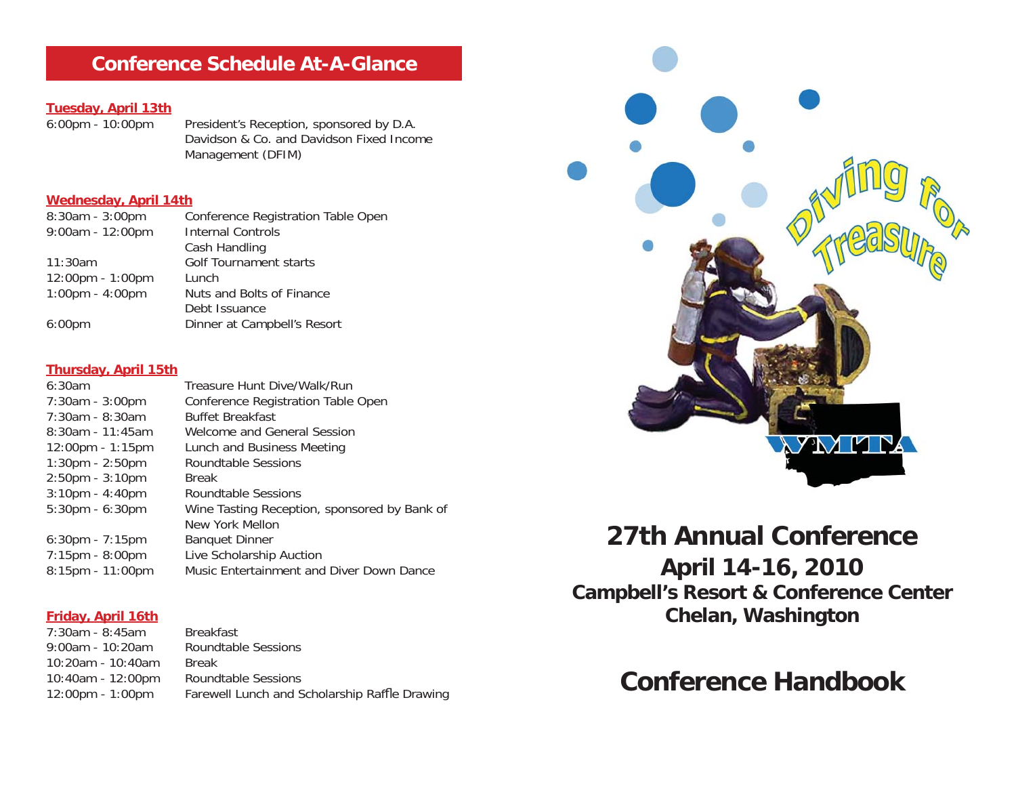# **Conference Schedule At-A-Glance**

# **Tuesday, April 13th**

President's Reception, sponsored by D.A. Davidson & Co. and Davidson Fixed Income Management (DFIM)

#### **Wednesday, April 14th**

| 8:30am - 3:00pm                   | Conference Registration Table Open |
|-----------------------------------|------------------------------------|
| 9:00am - 12:00pm                  | <b>Internal Controls</b>           |
|                                   | Cash Handling                      |
| 11:30am                           | Golf Tournament starts             |
| 12:00pm - 1:00pm                  | Lunch                              |
| $1:00 \text{pm} - 4:00 \text{pm}$ | Nuts and Bolts of Finance          |
|                                   | Debt Issuance                      |
| 6:00 <sub>pm</sub>                | Dinner at Campbell's Resort        |
|                                   |                                    |

#### **Thursday, April 15th**

| 6:30am                             | Treasure Hunt Dive/Walk/Run                  |
|------------------------------------|----------------------------------------------|
| 7:30am - 3:00pm                    | Conference Registration Table Open           |
| $7:30$ am - 8:30am                 | <b>Buffet Breakfast</b>                      |
| $8:30$ am - 11:45am                | Welcome and General Session                  |
| $12:00 \text{pm} - 1:15 \text{pm}$ | Lunch and Business Meeting                   |
| $1:30 \text{pm} - 2:50 \text{pm}$  | Roundtable Sessions                          |
| $2:50 \text{pm} - 3:10 \text{pm}$  | <b>Break</b>                                 |
| $3:10$ pm - $4:40$ pm              | Roundtable Sessions                          |
| $5:30$ pm - $6:30$ pm              | Wine Tasting Reception, sponsored by Bank of |
|                                    | New York Mellon                              |
| $6:30$ pm - 7:15pm                 | <b>Banquet Dinner</b>                        |
| $7:15$ pm - 8:00pm                 | Live Scholarship Auction                     |
| 8:15pm - 11:00pm                   | Music Entertainment and Diver Down Dance     |
|                                    |                                              |

### **Friday, April 16th**

7:30am - 8:45am Breakfast9:00am - 10:20am Roundtable Sessions 10:20am - 10:40am Break10:40am - 12:00pm Roundtable Sessions 12:00pm - 1:00pm Farewell Lunch and Scholarship Raffle Drawing



# **27th Annual Conference**

**April 14-16, 2010 Campbell's Resort & Conference Center Chelan, Washington**

# **Conference Handbook**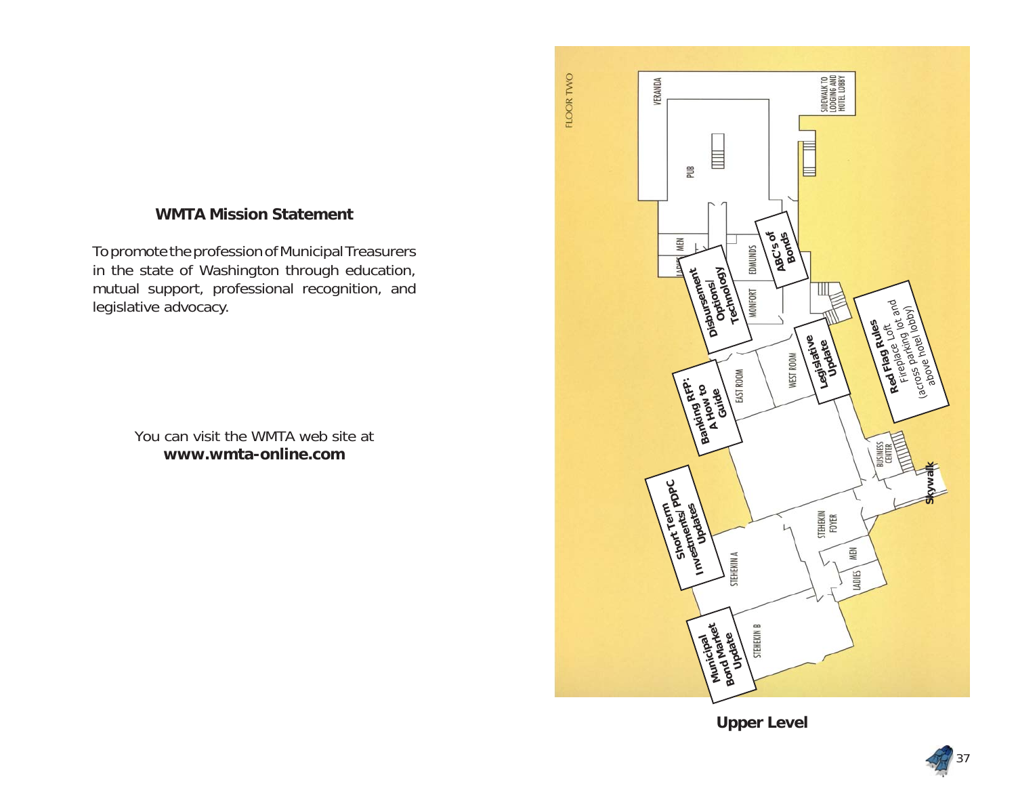### **WMTA Mission Statement**

To promote the profession of Municipal Treasurers in the state of Washington through education, mutual support, professional recognition, and legislative advocacy.

> You can visit the WMTA web site at**www.wmta-online.com**



**Upper Level**

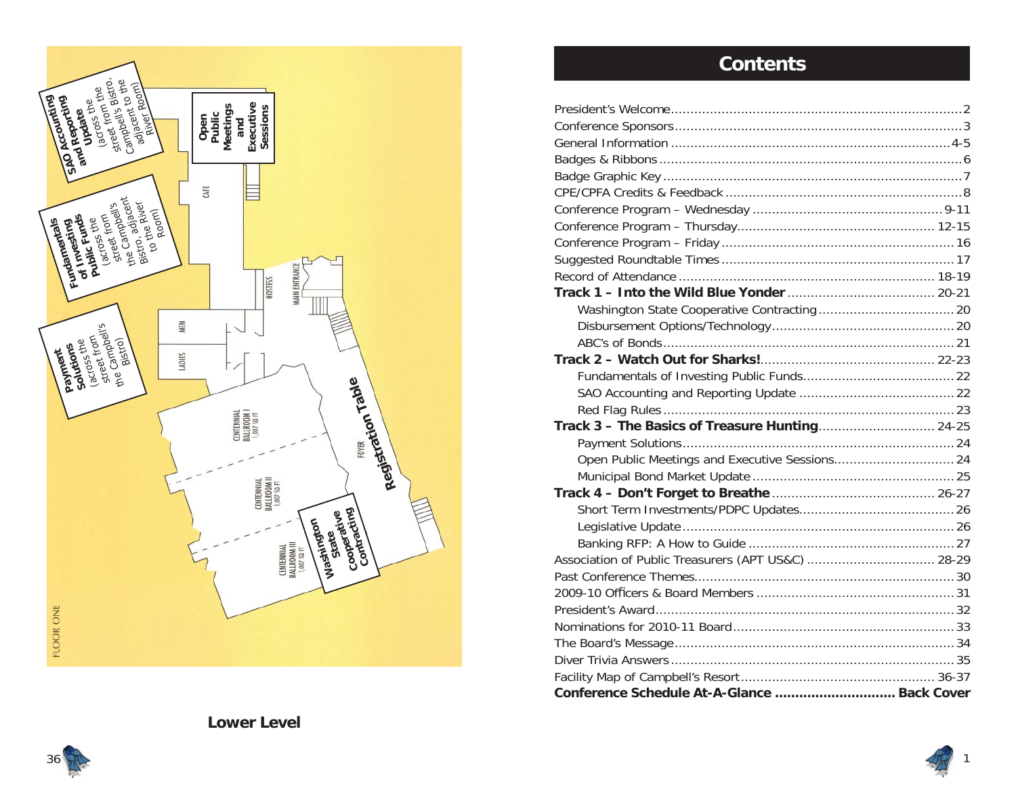

# **Contents**

| Association of Public Treasurers (APT US&C)  28-29 |  |
|----------------------------------------------------|--|
|                                                    |  |
|                                                    |  |
|                                                    |  |
|                                                    |  |
|                                                    |  |
|                                                    |  |
|                                                    |  |
| Conference Schedule At-A-Glance  Back Cover        |  |



1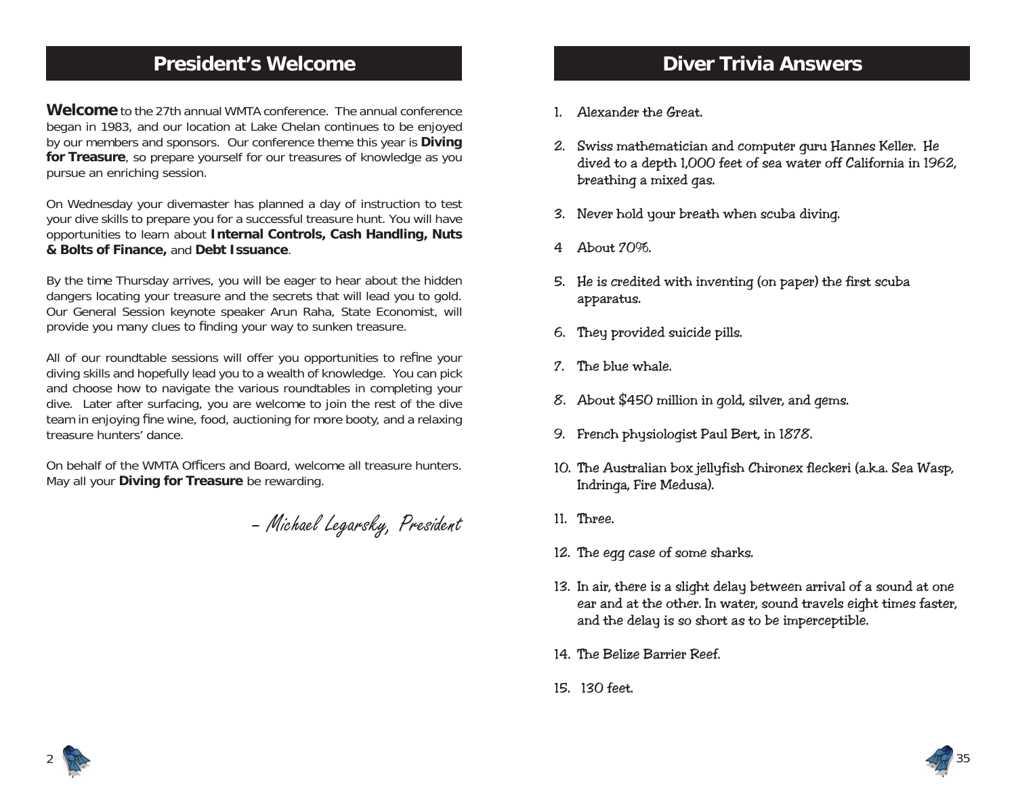# **President's Welcome**

**Welcome** to the 27th annual WMTA conference. The annual conference began in 1983, and our location at Lake Chelan continues to be enjoyed by our members and sponsors. Our conference theme this year is **Diving for Treasure**, so prepare yourself for our treasures of knowledge as you pursue an enriching session.

On Wednesday your divemaster has planned a day of instruction to test your dive skills to prepare you for a successful treasure hunt. You will have opportunities to learn about **Internal Controls, Cash Handling, Nuts & Bolts of Finance,** and **Debt Issuance**.

By the time Thursday arrives, you will be eager to hear about the hidden dangers locating your treasure and the secrets that will lead you to gold. Our General Session keynote speaker Arun Raha, State Economist, will provide you many clues to finding your way to sunken treasure.

All of our roundtable sessions will offer you opportunities to refine your diving skills and hopefully lead you to a wealth of knowledge. You can pick and choose how to navigate the various roundtables in completing your dive. Later after surfacing, you are welcome to join the rest of the dive team in enjoying fine wine, food, auctioning for more booty, and a relaxing treasure hunters' dance.

On behalf of the WMTA Officers and Board, welcome all treasure hunters. May all your **Diving for Treasure** be rewarding.

– Michael Legarsky, President

## **Diver Trivia Answers**

- 1. Alexander the Great.
- 2. Swiss mathematician and computer guru Hannes Keller. He dived to a depth 1,000 feet of sea water off California in 1962, breathing a mixed gas.
- 3. Never hold your breath when scuba diving.
- 4 About 70%.
- 5. He is credited with inventing (on paper) the first scuba apparatus.
- 6. They provided suicide pills.
- 7. The blue whale.
- 8. About \$450 million in gold, silver, and gems.
- 9. French physiologist Paul Bert, in 1878.
- 10. The Australian box jellyfish Chironex fleckeri (a.k.a. Sea Wasp, Indringa, Fire Medusa).
- 11. Three.
- 12. The egg case of some sharks.
- 13. In air, there is a slight delay between arrival of a sound at one ear and at the other. In water, sound travels eight times faster, and the delay is so short as to be imperceptible.
- 14. The Belize Barrier Reef.
- 15. 130 feet.



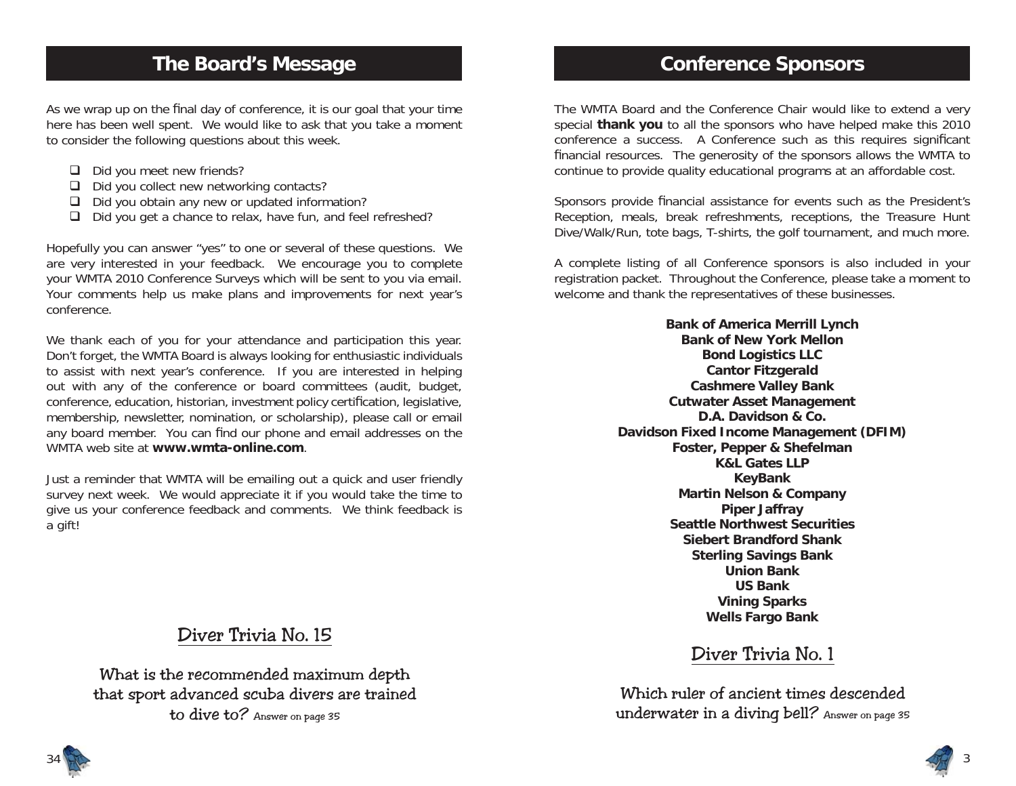# **The Board's Message**

As we wrap up on the final day of conference, it is our goal that your time here has been well spent. We would like to ask that you take a moment to consider the following questions about this week.

- $\Box$  Did you meet new friends?
- $\Box$  Did you collect new networking contacts?
- $\Box$  Did you obtain any new or updated information?
- $\Box$  Did you get a chance to relax, have fun, and feel refreshed?

Hopefully you can answer "yes" to one or several of these questions. We are very interested in your feedback. We encourage you to complete your WMTA 2010 Conference Surveys which will be sent to you via email. Your comments help us make plans and improvements for next year's conference.

We thank each of you for your attendance and participation this year. Don't forget, the WMTA Board is always looking for enthusiastic individuals to assist with next year's conference. If you are interested in helping out with any of the conference or board committees (audit, budget, conference, education, historian, investment policy certification, legislative, membership, newsletter, nomination, or scholarship), please call or email any board member. You can find our phone and email addresses on the WMTA web site at **www.wmta-online.com**.

Just a reminder that WMTA will be emailing out a quick and user friendly survey next week. We would appreciate it if you would take the time to give us your conference feedback and comments. We think feedback is a gift!

# Diver Trivia No. 15

What is the recommended maximum depth that sport advanced scuba divers are trained to dive to? Answer on page 35

# **Conference Sponsors**

The WMTA Board and the Conference Chair would like to extend a very special **thank you** to all the sponsors who have helped make this 2010 conference a success. A Conference such as this requires significant financial resources. The generosity of the sponsors allows the WMTA to continue to provide quality educational programs at an affordable cost.

Sponsors provide financial assistance for events such as the President's Reception, meals, break refreshments, receptions, the Treasure Hunt Dive/Walk/Run, tote bags, T-shirts, the golf tournament, and much more.

A complete listing of all Conference sponsors is also included in your registration packet. Throughout the Conference, please take a moment to welcome and thank the representatives of these businesses.

> **Bank of America Merrill Lynch Bank of New York MellonBond Logistics LLC Cantor Fitzgerald Cashmere Valley Bank Cutwater Asset Management D.A. Davidson & Co.Davidson Fixed Income Management (DFIM) Foster, Pepper & Shefelman K&L Gates LLP KeyBank Martin Nelson & Company Piper Jaffray Seattle Northwest SecuritiesSiebert Brandford ShankSterling Savings Bank Union BankUS BankVining Sparks Wells Fargo Bank**

# Diver Trivia No. 1

Which ruler of ancient times descended underwater in a diving bell? Answer on page 35

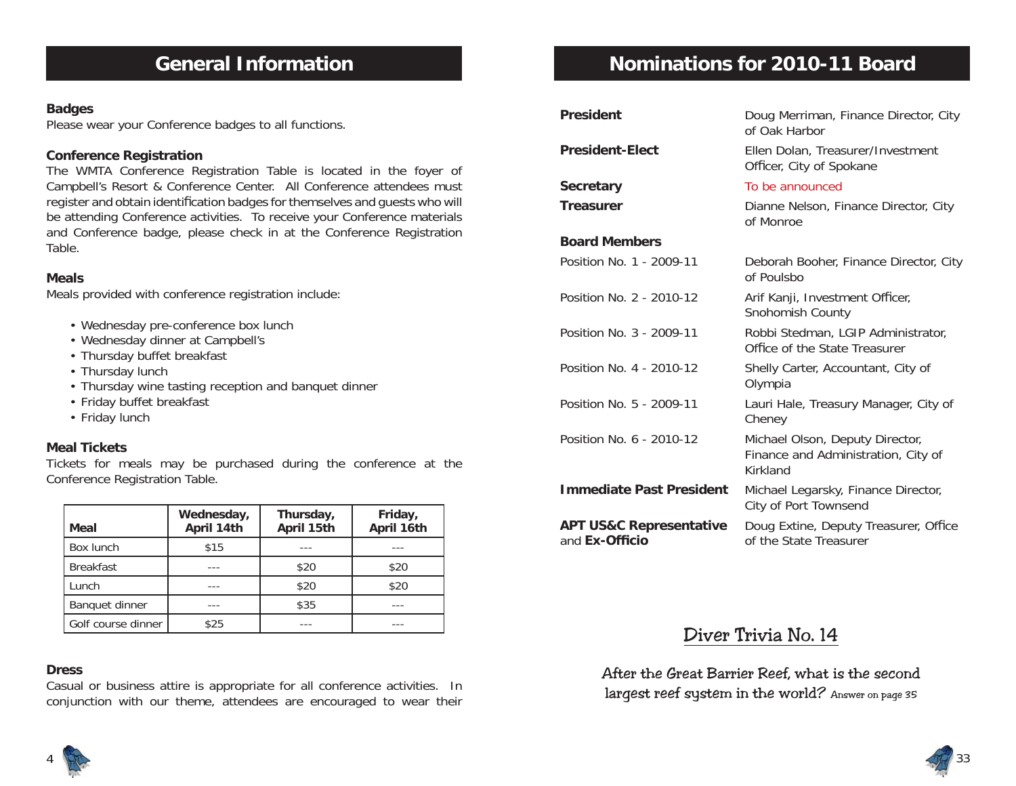# **General Information**

#### **Badges**

Please wear your Conference badges to all functions.

#### **Conference Registration**

The WMTA Conference Registration Table is located in the foyer of Campbell's Resort & Conference Center. All Conference attendees must register and obtain identification badges for themselves and guests who will be attending Conference activities. To receive your Conference materials and Conference badge, please check in at the Conference Registration Table.

#### **Meals**

Meals provided with conference registration include:

- Wednesday pre-conference box lunch
- Wednesday dinner at Campbell's
- Thursday buffet breakfast
- Thursday lunch
- Thursday wine tasting reception and banquet dinner
- Friday buffet breakfast
- Friday lunch

#### **Meal Tickets**

Tickets for meals may be purchased during the conference at the Conference Registration Table.

| Meal               | Wednesday,<br>April 14th | Thursday,<br>April 15th | Friday,<br>April 16th |
|--------------------|--------------------------|-------------------------|-----------------------|
| Box lunch          | \$15                     |                         |                       |
| <b>Breakfast</b>   |                          | \$20                    | \$20                  |
| Lunch              |                          | \$20                    | \$20                  |
| Banquet dinner     |                          | \$35                    |                       |
| Golf course dinner | \$25                     |                         |                       |

#### **Dress**

Casual or business attire is appropriate for all conference activities. In conjunction with our theme, attendees are encouraged to wear their

# **Nominations for 2010-11 Board**

| <b>President</b>                                     | Doug Merriman, Finance Director, City<br>of Oak Harbor                             |
|------------------------------------------------------|------------------------------------------------------------------------------------|
| <b>President-Elect</b>                               | Ellen Dolan, Treasurer/Investment<br>Officer, City of Spokane                      |
| <b>Secretary</b>                                     | To be announced                                                                    |
| <b>Treasurer</b>                                     | Dianne Nelson, Finance Director, City<br>of Monroe                                 |
| <b>Board Members</b>                                 |                                                                                    |
| Position No. 1 - 2009-11                             | Deborah Booher, Finance Director, City<br>of Poulsbo                               |
| Position No. 2 - 2010-12                             | Arif Kanji, Investment Officer,<br>Snohomish County                                |
| Position No. 3 - 2009-11                             | Robbi Stedman, LGIP Administrator,<br>Office of the State Treasurer                |
| Position No. 4 - 2010-12                             | Shelly Carter, Accountant, City of<br>Olympia                                      |
| Position No. 5 - 2009-11                             | Lauri Hale, Treasury Manager, City of<br>Cheney                                    |
| Position No. 6 - 2010-12                             | Michael Olson, Deputy Director,<br>Finance and Administration, City of<br>Kirkland |
| <b>Immediate Past President</b>                      | Michael Legarsky, Finance Director,<br>City of Port Townsend                       |
| <b>APT US&amp;C Representative</b><br>and Ex-Officio | Doug Extine, Deputy Treasurer, Office<br>of the State Treasurer                    |

## Diver Trivia No. 14

After the Great Barrier Reef, what is the second largest reef system in the world? Answer on page 35



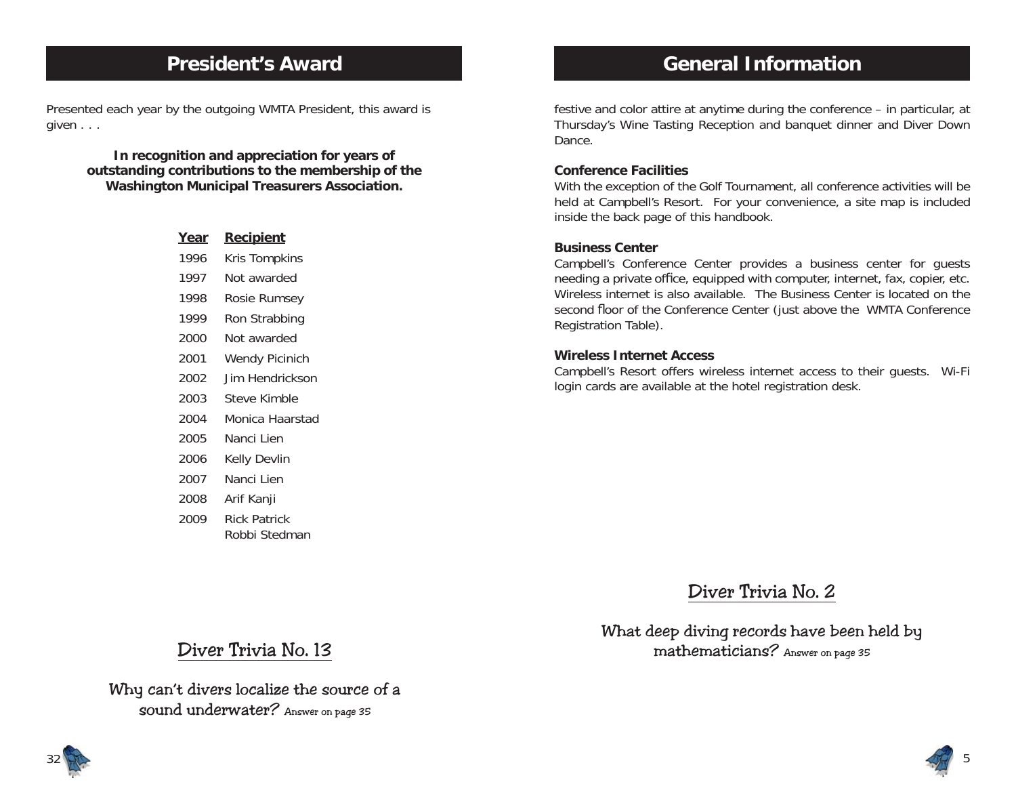## **President's Award**

Presented each year by the outgoing WMTA President, this award is given . . .

> **In recognition and appreciation for years of outstanding contributions to the membership of the Washington Municipal Treasurers Association.**

| Year | <u>Recipient</u>    |
|------|---------------------|
| 1996 | Kris Tompkins       |
| 1997 | Not awarded         |
| 1998 | Rosie Rumsey        |
| 1999 | Ron Strabbing       |
| 2000 | Not awarded         |
| 2001 | Wendy Picinich      |
| 2002 | Jim Hendrickson     |
| 2003 | Steve Kimble        |
| 2004 | Monica Haarstad     |
| 2005 | Nanci Lien          |
| 2006 | Kelly Devlin        |
| 2007 | Nanci Lien          |
| 2008 | Arif Kanji          |
| 2009 | <b>Rick Patrick</b> |
|      | Robbi Stedman       |

# **General Information**

festive and color attire at anytime during the conference – in particular, at Thursday's Wine Tasting Reception and banquet dinner and Diver Down Dance.

#### **Conference Facilities**

With the exception of the Golf Tournament, all conference activities will be held at Campbell's Resort. For your convenience, a site map is included inside the back page of this handbook.

#### **Business Center**

Campbell's Conference Center provides a business center for guests needing a private office, equipped with computer, internet, fax, copier, etc. Wireless internet is also available. The Business Center is located on the second floor of the Conference Center (just above the WMTA Conference Registration Table).

#### **Wireless Internet Access**

Campbell's Resort offers wireless internet access to their guests. Wi-Fi login cards are available at the hotel registration desk.

Diver Trivia No. 2

What deep diving records have been held by mathematicians? Answer on page 35

# Diver Trivia No. 13

Why can't divers localize the source of a sound underwater? Answer on page 35



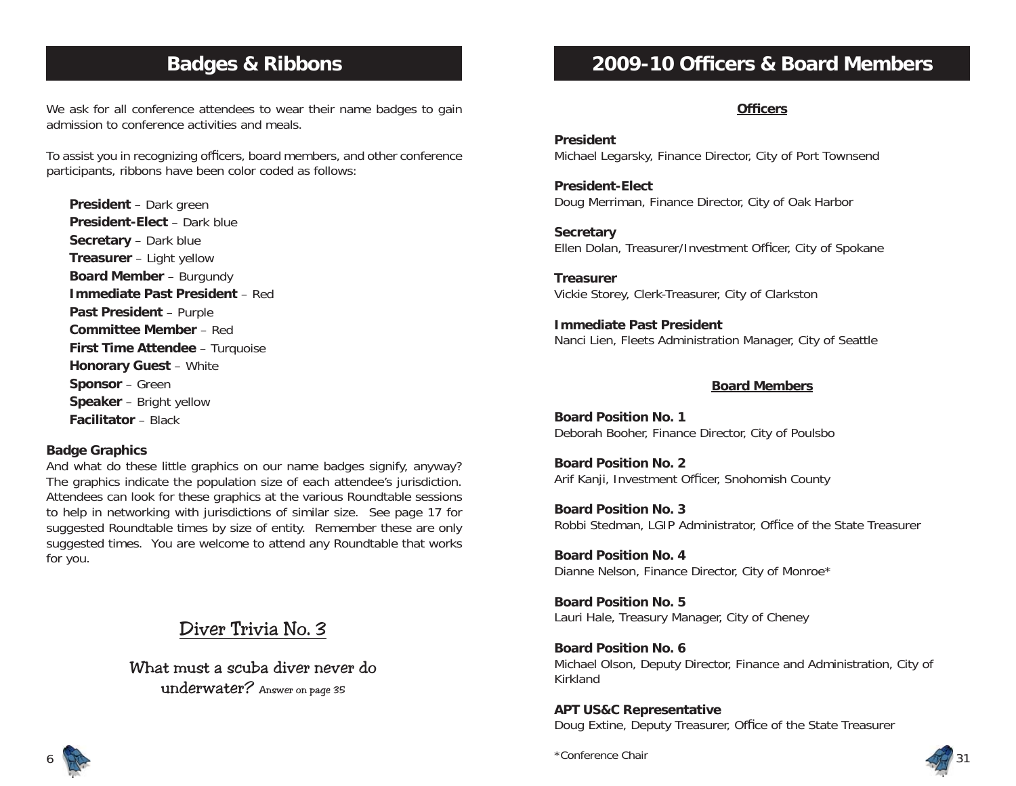# **Badges & Ribbons**

We ask for all conference attendees to wear their name badges to gain admission to conference activities and meals.

To assist you in recognizing officers, board members, and other conference participants, ribbons have been color coded as follows:

**President** – Dark green **President-Elect** – Dark blue**Secretary** – Dark blue **Treasurer** – Light yellow **Board Member** – Burgundy **Immediate Past President** – Red**Past President** – Purple **Committee Member** – Red**First Time Attendee** – Turquoise **Honorary Guest** – White **Sponsor** – Green **Speaker** – Bright yellow **Facilitator** – Black

#### **Badge Graphics**

And what do these little graphics on our name badges signify, anyway? The graphics indicate the population size of each attendee's jurisdiction. Attendees can look for these graphics at the various Roundtable sessions to help in networking with jurisdictions of similar size. See page 17 for suggested Roundtable times by size of entity. Remember these are only suggested times. You are welcome to attend any Roundtable that works for you.

Diver Trivia No. 3

What must a scuba diver never do underwater? Answer on page 35

# **2009-10 Officers & Board Members**

#### **Officers**

**President**Michael Legarsky, Finance Director, City of Port Townsend

**President-Elect**Doug Merriman, Finance Director, City of Oak Harbor

**Secretary** Ellen Dolan, Treasurer/Investment Officer, City of Spokane

**Treasurer**Vickie Storey, Clerk-Treasurer, City of Clarkston

**Immediate Past President**Nanci Lien, Fleets Administration Manager, City of Seattle

#### **Board Members**

**Board Position No. 1**Deborah Booher, Finance Director, City of Poulsbo

**Board Position No. 2**Arif Kanji, Investment Officer, Snohomish County

**Board Position No. 3**Robbi Stedman, LGIP Administrator, Office of the State Treasurer

**Board Position No. 4**Dianne Nelson, Finance Director, City of Monroe\*

**Board Position No. 5**Lauri Hale, Treasury Manager, City of Cheney

**Board Position No. 6**Michael Olson, Deputy Director, Finance and Administration, City of Kirkland

**APT US&C Representative**

Doug Extine, Deputy Treasurer, Office of the State Treasurer



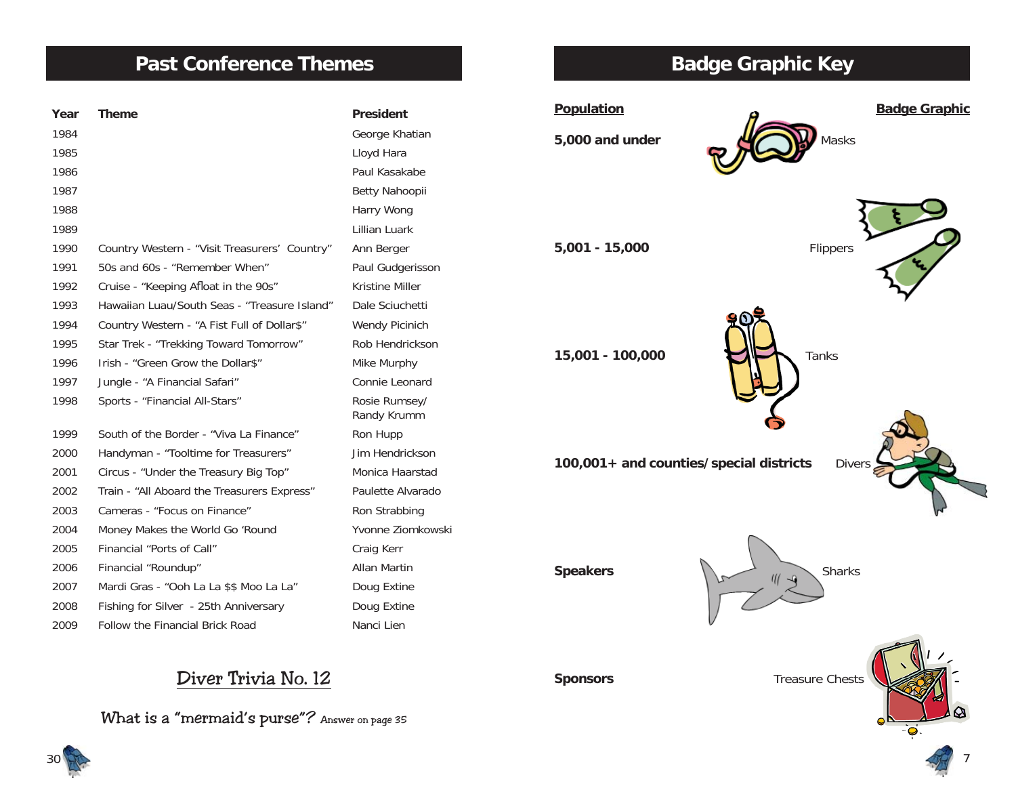# **Past Conference Themes**

| Year | <b>Theme</b>                                  | <b>President</b>             |
|------|-----------------------------------------------|------------------------------|
| 1984 |                                               | George Khatian               |
| 1985 |                                               | Lloyd Hara                   |
| 1986 |                                               | Paul Kasakabe                |
| 1987 |                                               | Betty Nahoopii               |
| 1988 |                                               | Harry Wong                   |
| 1989 |                                               | Lillian Luark                |
| 1990 | Country Western - "Visit Treasurers' Country" | Ann Berger                   |
| 1991 | 50s and 60s - "Remember When"                 | Paul Gudgerisson             |
| 1992 | Cruise - "Keeping Afloat in the 90s"          | Kristine Miller              |
| 1993 | Hawaiian Luau/South Seas - "Treasure Island"  | Dale Sciuchetti              |
| 1994 | Country Western - "A Fist Full of Dollar\$"   | Wendy Picinich               |
| 1995 | Star Trek - "Trekking Toward Tomorrow"        | Rob Hendrickson              |
| 1996 | Irish - "Green Grow the Dollar\$"             | Mike Murphy                  |
| 1997 | Jungle - "A Financial Safari"                 | Connie Leonard               |
| 1998 | Sports - "Financial All-Stars"                | Rosie Rumsey/<br>Randy Krumm |
| 1999 | South of the Border - "Viva La Finance"       | Ron Hupp                     |
| 2000 | Handyman - "Tooltime for Treasurers"          | Jim Hendrickson              |
| 2001 | Circus - "Under the Treasury Big Top"         | Monica Haarstad              |
| 2002 | Train - "All Aboard the Treasurers Express"   | Paulette Alvarado            |
| 2003 | Cameras - "Focus on Finance"                  | Ron Strabbing                |
| 2004 | Money Makes the World Go 'Round               | Yvonne Ziomkowski            |
| 2005 | Financial "Ports of Call"                     | Craig Kerr                   |
| 2006 | Financial "Roundup"                           | <b>Allan Martin</b>          |
| 2007 | Mardi Gras - "Ooh La La \$\$ Moo La La"       | Doug Extine                  |
| 2008 | Fishing for Silver - 25th Anniversary         | Doug Extine                  |
| 2009 | Follow the Financial Brick Road               | Nanci Lien                   |

# **Badge Graphic Key**



Diver Trivia No. 12

What is a "mermaid's purse"? Answer on page 35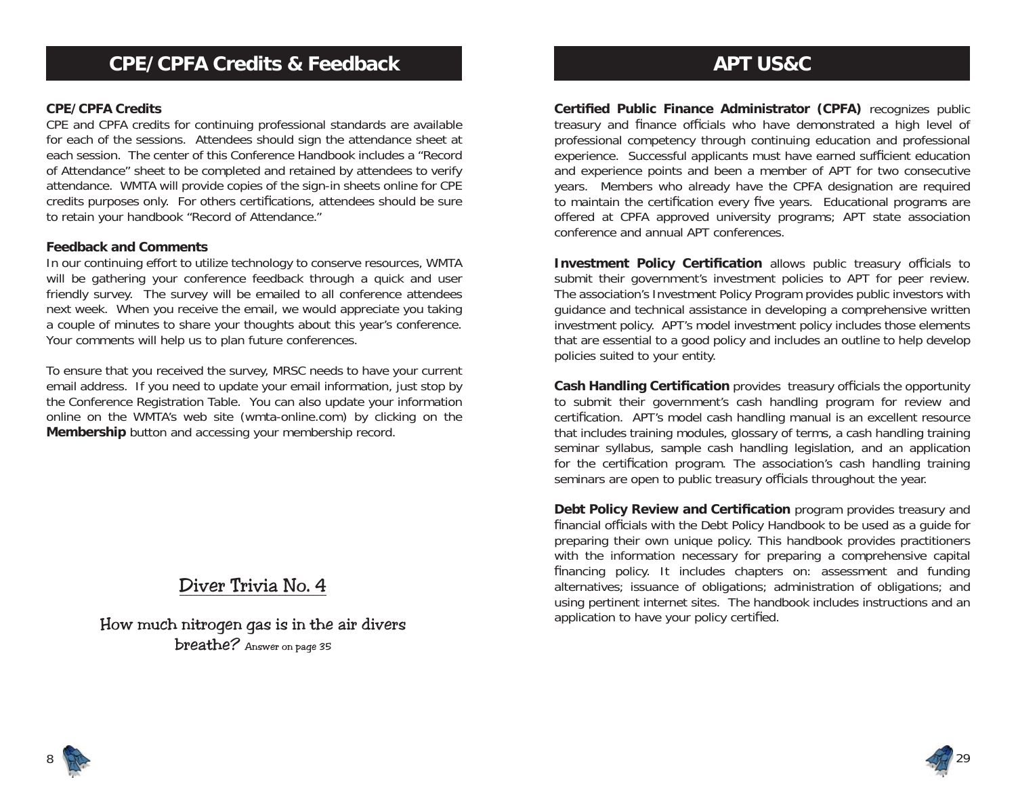#### **CPE/CPFA Credits**

CPE and CPFA credits for continuing professional standards are available for each of the sessions. Attendees should sign the attendance sheet at each session. The center of this Conference Handbook includes a "Record of Attendance" sheet to be completed and retained by attendees to verify attendance. WMTA will provide copies of the sign-in sheets online for CPE credits purposes only. For others certifications, attendees should be sure to retain your handbook "Record of Attendance."

#### **Feedback and Comments**

In our continuing effort to utilize technology to conserve resources, WMTA will be gathering your conference feedback through a quick and user friendly survey. The survey will be emailed to all conference attendees next week. When you receive the email, we would appreciate you taking a couple of minutes to share your thoughts about this year's conference. Your comments will help us to plan future conferences.

To ensure that you received the survey, MRSC needs to have your current email address. If you need to update your email information, just stop by the Conference Registration Table. You can also update your information online on the WMTA's web site (wmta-online.com) by clicking on the **Membership** button and accessing your membership record.

# Diver Trivia No. 4

How much nitrogen gas is in the air divers breathe? Answer on page 35

# **APT US&C**

**Certified Public Finance Administrator (CPFA)** recognizes public treasury and finance officials who have demonstrated a high level of professional competency through continuing education and professional experience. Successful applicants must have earned sufficient education and experience points and been a member of APT for two consecutive years. Members who already have the CPFA designation are required to maintain the certification every five years. Educational programs are offered at CPFA approved university programs; APT state association conference and annual APT conferences.

**Investment Policy Certification** allows public treasury officials to submit their government's investment policies to APT for peer review. The association's Investment Policy Program provides public investors with guidance and technical assistance in developing a comprehensive written investment policy. APT's model investment policy includes those elements that are essential to a good policy and includes an outline to help develop policies suited to your entity.

**Cash Handling Certification** provides treasury officials the opportunity to submit their government's cash handling program for review and certification. APT's model cash handling manual is an excellent resource that includes training modules, glossary of terms, a cash handling training seminar syllabus, sample cash handling legislation, and an application for the certification program. The association's cash handling training seminars are open to public treasury officials throughout the year.

**Debt Policy Review and Certification** program provides treasury and financial officials with the Debt Policy Handbook to be used as a quide for preparing their own unique policy. This handbook provides practitioners with the information necessary for preparing a comprehensive capital financing policy. It includes chapters on: assessment and funding alternatives; issuance of obligations; administration of obligations; and using pertinent internet sites. The handbook includes instructions and an application to have your policy certified.



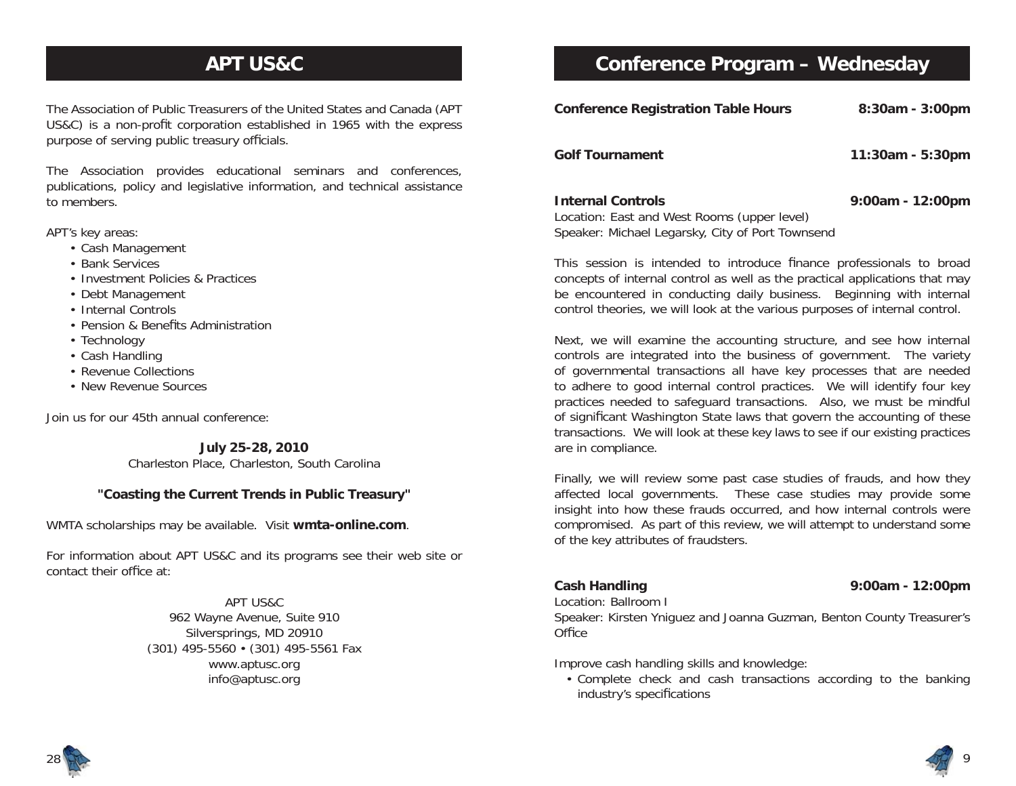# **APT US&C**

The Association of Public Treasurers of the United States and Canada (APT US&C) is a non-profit corporation established in 1965 with the express purpose of serving public treasury officials.

The Association provides educational seminars and conferences, publications, policy and legislative information, and technical assistance to members.

APT's key areas:

- Cash Management
- Bank Services
- Investment Policies & Practices
- Debt Management
- Internal Controls
- Pension & Benefits Administration
- Technology
- Cash Handling
- Revenue Collections
- New Revenue Sources

Join us for our 45th annual conference:

**July 25-28, 2010** Charleston Place, Charleston, South Carolina

#### **"Coasting the Current Trends in Public Treasury"**

WMTA scholarships may be available. Visit **wmta-online.com**.

For information about APT US&C and its programs see their web site or contact their office at:

> APT US&C962 Wayne Avenue, Suite 910 Silversprings, MD 20910 (301) 495-5560 • (301) 495-5561 Fax www.aptusc.org info@aptusc.org

# **Conference Program – Wednesday**

| <b>Conference Registration Table Hours</b>                                                                                  | 8:30am - 3:00pm  |
|-----------------------------------------------------------------------------------------------------------------------------|------------------|
| <b>Golf Tournament</b>                                                                                                      | 11:30am - 5:30pm |
| <b>Internal Controls</b><br>Location: East and West Rooms (upper level)<br>Speaker: Michael Legarsky, City of Port Townsend | 9:00am - 12:00pm |

This session is intended to introduce finance professionals to broad concepts of internal control as well as the practical applications that may be encountered in conducting daily business. Beginning with internal control theories, we will look at the various purposes of internal control.

Next, we will examine the accounting structure, and see how internal controls are integrated into the business of government. The variety of governmental transactions all have key processes that are needed to adhere to good internal control practices. We will identify four key practices needed to safeguard transactions. Also, we must be mindful of significant Washington State laws that govern the accounting of these transactions. We will look at these key laws to see if our existing practices are in compliance.

Finally, we will review some past case studies of frauds, and how they affected local governments. These case studies may provide some insight into how these frauds occurred, and how internal controls were compromised. As part of this review, we will attempt to understand some of the key attributes of fraudsters.

# Location: Ballroom I

#### **Cash Handling 9:00am - 12:00pm**

Speaker: Kirsten Yniguez and Joanna Guzman, Benton County Treasurer's Office

Improve cash handling skills and knowledge:

 • Complete check and cash transactions according to the banking industry's specifications



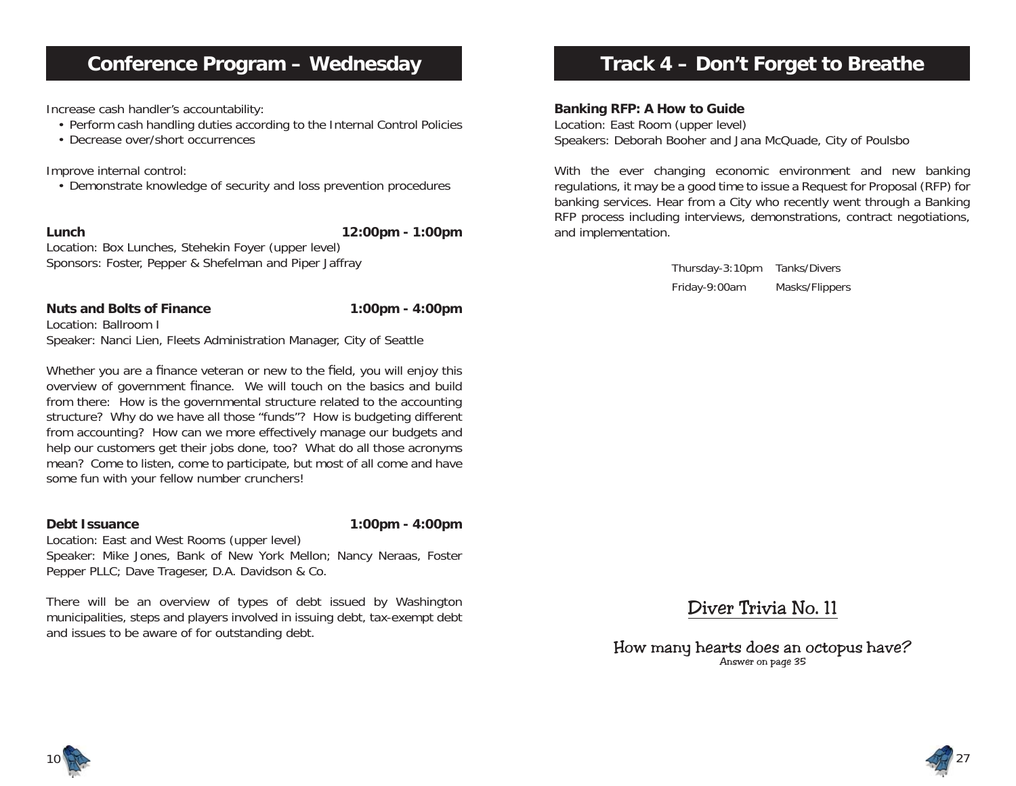# **Conference Program – Wednesday**

Increase cash handler's accountability:

- Perform cash handling duties according to the Internal Control Policies
- Decrease over/short occurrences

Improve internal control:

• Demonstrate knowledge of security and loss prevention procedures

**Lunch 12:00pm - 1:00pm**

Location: Box Lunches, Stehekin Foyer (upper level) Sponsors: Foster, Pepper & Shefelman and Piper Jaffray

### Nuts and Bolts of Finance 1:00pm - 4:00pm

Location: Ballroom ISpeaker: Nanci Lien, Fleets Administration Manager, City of Seattle

Whether you are a finance veteran or new to the field, you will enjoy this overview of government finance. We will touch on the basics and build from there: How is the governmental structure related to the accounting structure? Why do we have all those "funds"? How is budgeting different from accounting? How can we more effectively manage our budgets and help our customers get their jobs done, too? What do all those acronyms mean? Come to listen, come to participate, but most of all come and have some fun with your fellow number crunchers!

**Debt Issuance 1:00pm - 4:00pm**

Location: East and West Rooms (upper level) Speaker: Mike Jones, Bank of New York Mellon; Nancy Neraas, Foster Pepper PLLC; Dave Trageser, D.A. Davidson & Co.

There will be an overview of types of debt issued by Washington municipalities, steps and players involved in issuing debt, tax-exempt debt and issues to be aware of for outstanding debt.

# **Track 4 – Don't Forget to Breathe**

**Banking RFP: A How to Guide**

Location: East Room (upper level) Speakers: Deborah Booher and Jana McQuade, City of Poulsbo

With the ever changing economic environment and new banking regulations, it may be a good time to issue a Request for Proposal (RFP) for banking services. Hear from a City who recently went through a Banking RFP process including interviews, demonstrations, contract negotiations, and implementation.

> Thursday-3:10pm Tanks/Divers Friday-9:00am Masks/Flippers

Diver Trivia No. 11

How many hearts does an octopus have? Answer on page 35



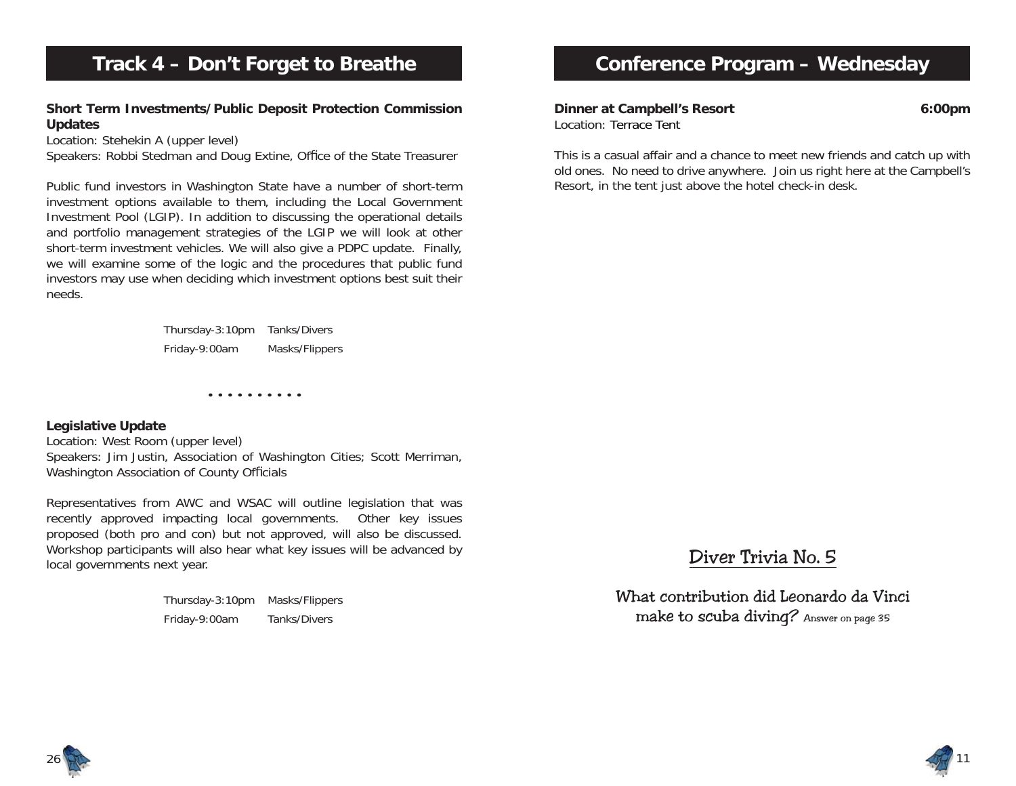# **Track 4 – Don't Forget to Breathe**

#### **Short Term Investments/Public Deposit Protection Commission Updates**

Location: Stehekin A (upper level)

Speakers: Robbi Stedman and Doug Extine, Office of the State Treasurer

Public fund investors in Washington State have a number of short-term investment options available to them, including the Local Government Investment Pool (LGIP). In addition to discussing the operational details and portfolio management strategies of the LGIP we will look at other short-term investment vehicles. We will also give a PDPC update. Finally, we will examine some of the logic and the procedures that public fund investors may use when deciding which investment options best suit their needs.

> Thursday-3:10pm Tanks/Divers Friday-9:00am Masks/Flippers

> > • • • • • • • • • •

#### **Legislative Update**

Location: West Room (upper level) Speakers: Jim Justin, Association of Washington Cities; Scott Merriman, Washington Association of County Officials

Representatives from AWC and WSAC will outline legislation that was recently approved impacting local governments. Other key issues proposed (both pro and con) but not approved, will also be discussed. Workshop participants will also hear what key issues will be advanced by local governments next year.

> Thursday-3:10pm Masks/Flippers Friday-9:00am Tanks/Divers

# **Conference Program – Wednesday**

**Dinner at Campbell's Resort 6:00pm** Location: Terrace Tent

This is a casual affair and a chance to meet new friends and catch up with old ones. No need to drive anywhere. Join us right here at the Campbell's Resort, in the tent just above the hotel check-in desk.

# Diver Trivia No. 5

What contribution did Leonardo da Vinci make to scuba diving? Answer on page 35



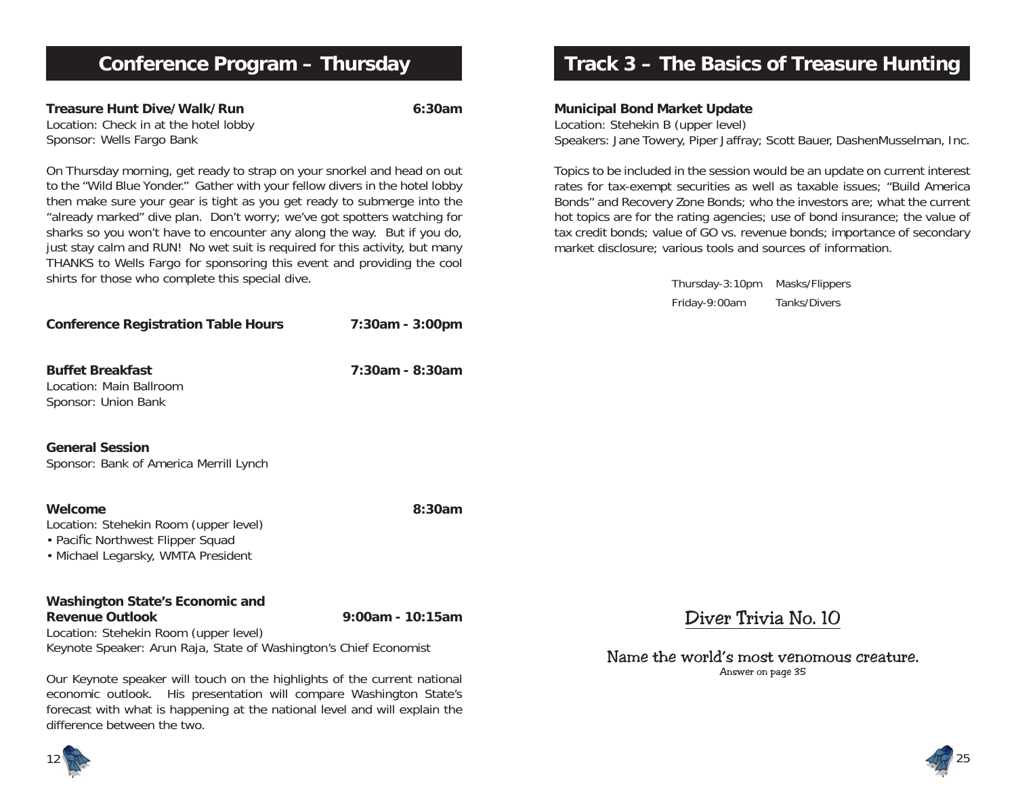# **Conference Program – Thursday**

**Treasure Hunt Dive/Walk/Run 6:30am**Location: Check in at the hotel lobby Sponsor: Wells Fargo Bank

On Thursday morning, get ready to strap on your snorkel and head on out to the "Wild Blue Yonder." Gather with your fellow divers in the hotel lobby then make sure your gear is tight as you get ready to submerge into the "already marked" dive plan. Don't worry; we've got spotters watching for sharks so you won't have to encounter any along the way. But if you do, just stay calm and RUN! No wet suit is required for this activity, but many THANKS to Wells Fargo for sponsoring this event and providing the cool shirts for those who complete this special dive.

| <b>Conference Registration Table Hours</b>                                                                                  | 7:30am - 3:00pm    |
|-----------------------------------------------------------------------------------------------------------------------------|--------------------|
| <b>Buffet Breakfast</b><br>Location: Main Ballroom<br>Sponsor: Union Bank                                                   | $7:30$ am - 8:30am |
| <b>General Session</b><br>Sponsor: Bank of America Merrill Lynch                                                            |                    |
| Welcome<br>Location: Stehekin Room (upper level)<br>• Pacific Northwest Flipper Squad<br>• Michael Legarsky, WMTA President | $8:30$ am          |
| Washington State's Economic and<br><b>Revenue Outlook</b>                                                                   | 9:00am - 10:15am   |

Location: Stehekin Room (upper level) Keynote Speaker: Arun Raja, State of Washington's Chief Economist

Our Keynote speaker will touch on the highlights of the current national economic outlook. His presentation will compare Washington State's forecast with what is happening at the national level and will explain the difference between the two.

# **Track 3 – The Basics of Treasure Hunting**

**Municipal Bond Market Update**

Location: Stehekin B (upper level) Speakers: Jane Towery, Piper Jaffray; Scott Bauer, DashenMusselman, Inc.

Topics to be included in the session would be an update on current interest rates for tax-exempt securities as well as taxable issues; "Build America Bonds" and Recovery Zone Bonds; who the investors are; what the current hot topics are for the rating agencies; use of bond insurance; the value of tax credit bonds; value of GO vs. revenue bonds; importance of secondary market disclosure; various tools and sources of information.

> Thursday-3:10pm Masks/Flippers Friday-9:00am Tanks/Divers

Diver Trivia No. 10

Name the world's most venomous creature. Answer on page 35



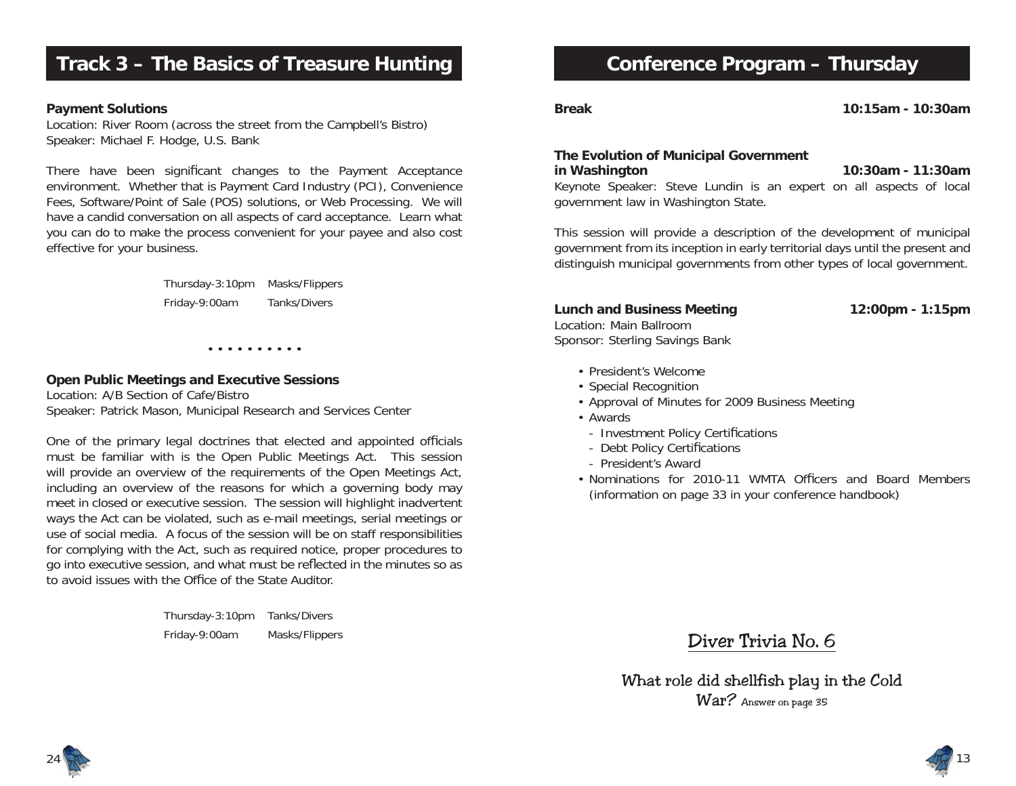# **Track 3 – The Basics of Treasure Hunting**

#### **Payment Solutions**

Location: River Room (across the street from the Campbell's Bistro) Speaker: Michael F. Hodge, U.S. Bank

There have been significant changes to the Payment Acceptance environment. Whether that is Payment Card Industry (PCI), Convenience Fees, Software/Point of Sale (POS) solutions, or Web Processing. We will have a candid conversation on all aspects of card acceptance. Learn what you can do to make the process convenient for your payee and also cost effective for your business.

> Thursday-3:10pm Masks/Flippers Friday-9:00am Tanks/Divers

> > • • • • • • • • • •

#### **Open Public Meetings and Executive Sessions**

Location: A/B Section of Cafe/BistroSpeaker: Patrick Mason, Municipal Research and Services Center

One of the primary legal doctrines that elected and appointed officials must be familiar with is the Open Public Meetings Act. This session will provide an overview of the requirements of the Open Meetings Act, including an overview of the reasons for which a governing body may meet in closed or executive session. The session will highlight inadvertent ways the Act can be violated, such as e-mail meetings, serial meetings or use of social media. A focus of the session will be on staff responsibilities for complying with the Act, such as required notice, proper procedures to go into executive session, and what must be reflected in the minutes so as to avoid issues with the Office of the State Auditor.

> Thursday-3:10pm Tanks/Divers Friday-9:00am Masks/Flippers

# **Conference Program – Thursday**

**Break 10:15am - 10:30am**

#### **The Evolution of Municipal Government in Washington 10:30am - 11:30am**

Keynote Speaker: Steve Lundin is an expert on all aspects of local government law in Washington State.

This session will provide a description of the development of municipal government from its inception in early territorial days until the present and distinguish municipal governments from other types of local government.

#### **Lunch and Business Meeting 12:00pm - 1:15pm**

13

Location: Main BallroomSponsor: Sterling Savings Bank

- President's Welcome
- Special Recognition
- Approval of Minutes for 2009 Business Meeting
- Awards
- Investment Policy Certifications
- Debt Policy Certifications
- President's Award
- Nominations for 2010-11 WMTA Officers and Board Members (information on page 33 in your conference handbook)

### Diver Trivia No. 6

What role did shellfish play in the Cold War? Answer on page 35

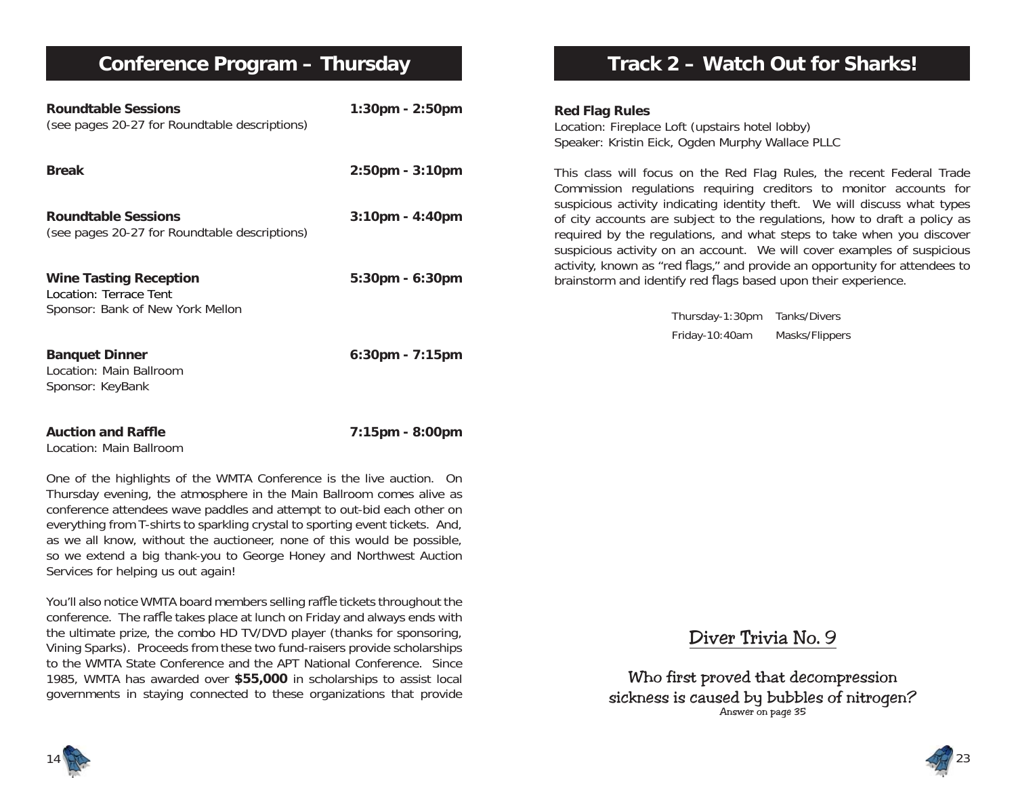# **Conference Program – Thursday**

conference. The raffle takes place at lunch on Friday and always ends with the ultimate prize, the combo HD TV/DVD player (thanks for sponsoring, Vining Sparks). Proceeds from these two fund-raisers provide scholarships to the WMTA State Conference and the APT National Conference. Since 1985, WMTA has awarded over **\$55,000** in scholarships to assist local governments in staying connected to these organizations that provide

| <b>Roundtable Sessions</b><br>(see pages 20-27 for Roundtable descriptions)                                                                                                                                                                                                                                                                                                                                                                                                                    | $1:30$ pm - $2:50$ pm | <b>Red Flag Rules</b><br>Location: Fireplace Loft (upstairs hotel lobby)<br>Speaker: Kristin Eick, Ogden Murphy Wallace PLLC                                                                                                                                                                               |
|------------------------------------------------------------------------------------------------------------------------------------------------------------------------------------------------------------------------------------------------------------------------------------------------------------------------------------------------------------------------------------------------------------------------------------------------------------------------------------------------|-----------------------|------------------------------------------------------------------------------------------------------------------------------------------------------------------------------------------------------------------------------------------------------------------------------------------------------------|
| <b>Break</b>                                                                                                                                                                                                                                                                                                                                                                                                                                                                                   | $2:50$ pm - $3:10$ pm | This class will focus on the Red Flag Rules, the recent Federal Trade<br>Commission regulations requiring creditors to monitor accounts for                                                                                                                                                                |
| <b>Roundtable Sessions</b><br>(see pages 20-27 for Roundtable descriptions)                                                                                                                                                                                                                                                                                                                                                                                                                    | $3:10$ pm - $4:40$ pm | suspicious activity indicating identity theft. We will discuss what types<br>of city accounts are subject to the regulations, how to draft a policy as<br>required by the regulations, and what steps to take when you discover<br>suspicious activity on an account. We will cover examples of suspicious |
| <b>Wine Tasting Reception</b><br>Location: Terrace Tent                                                                                                                                                                                                                                                                                                                                                                                                                                        | $5:30$ pm - $6:30$ pm | activity, known as "red flags," and provide an opportunity for attendees to<br>brainstorm and identify red flags based upon their experience.                                                                                                                                                              |
| Sponsor: Bank of New York Mellon                                                                                                                                                                                                                                                                                                                                                                                                                                                               |                       | Thursday-1:30pm<br>Tanks/Divers                                                                                                                                                                                                                                                                            |
|                                                                                                                                                                                                                                                                                                                                                                                                                                                                                                |                       | Friday-10:40am<br>Masks/Flippers                                                                                                                                                                                                                                                                           |
| <b>Banquet Dinner</b><br>Location: Main Ballroom<br>Sponsor: KeyBank                                                                                                                                                                                                                                                                                                                                                                                                                           | $6:30$ pm - 7:15pm    |                                                                                                                                                                                                                                                                                                            |
| <b>Auction and Raffle</b><br>Location: Main Ballroom                                                                                                                                                                                                                                                                                                                                                                                                                                           | 7:15pm - 8:00pm       |                                                                                                                                                                                                                                                                                                            |
| One of the highlights of the WMTA Conference is the live auction. On<br>Thursday evening, the atmosphere in the Main Ballroom comes alive as<br>conference attendees wave paddles and attempt to out-bid each other on<br>everything from T-shirts to sparkling crystal to sporting event tickets. And,<br>as we all know, without the auctioneer, none of this would be possible,<br>so we extend a big thank-you to George Honey and Northwest Auction<br>Services for helping us out again! |                       |                                                                                                                                                                                                                                                                                                            |
| You'll also notice WMTA board members selling raffle tickets throughout the                                                                                                                                                                                                                                                                                                                                                                                                                    |                       |                                                                                                                                                                                                                                                                                                            |

Diver Trivia No. 9

**Track 2 – Watch Out for Sharks!**

Who first proved that decompression sickness is caused by bubbles of nitrogen? Answer on page 35



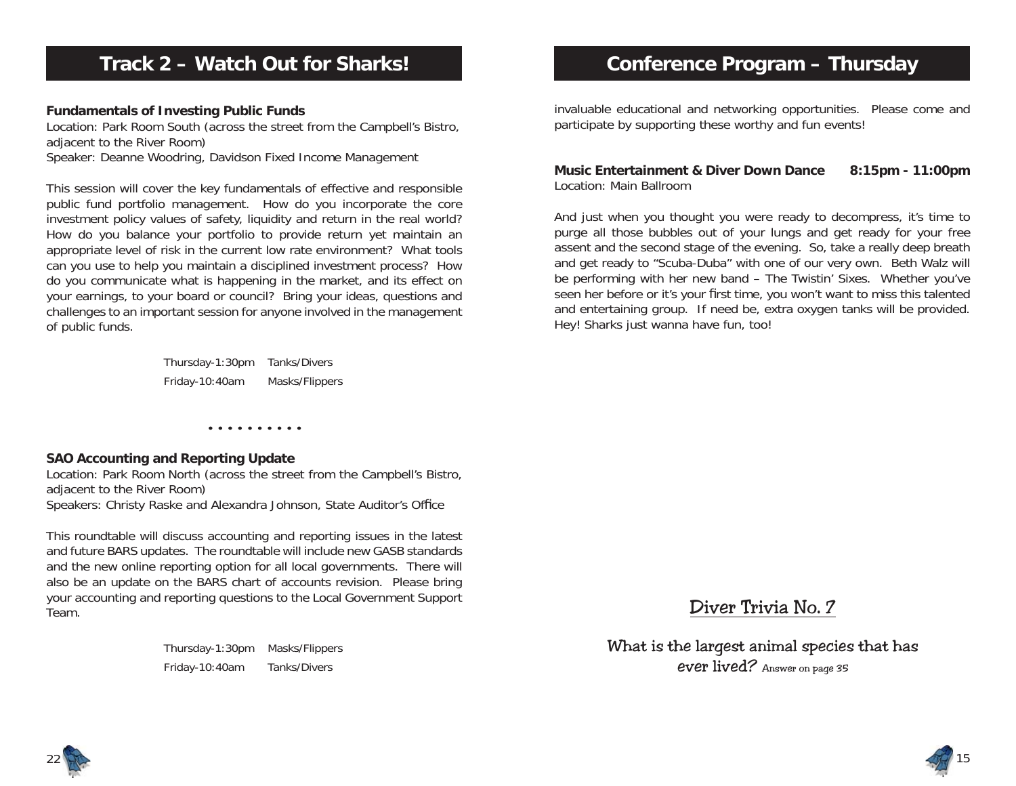# **Track 2 – Watch Out for Sharks!**

#### **Fundamentals of Investing Public Funds**

Location: Park Room South (across the street from the Campbell's Bistro, adjacent to the River Room) Speaker: Deanne Woodring, Davidson Fixed Income Management

This session will cover the key fundamentals of effective and responsible public fund portfolio management. How do you incorporate the core investment policy values of safety, liquidity and return in the real world? How do you balance your portfolio to provide return yet maintain an appropriate level of risk in the current low rate environment? What tools can you use to help you maintain a disciplined investment process? How do you communicate what is happening in the market, and its effect on your earnings, to your board or council? Bring your ideas, questions and challenges to an important session for anyone involved in the management of public funds.

> Thursday-1:30pm Tanks/Divers Friday-10:40am Masks/Flippers

> > • • • • • • • • • •

#### **SAO Accounting and Reporting Update**

Location: Park Room North (across the street from the Campbell's Bistro, adjacent to the River Room) Speakers: Christy Raske and Alexandra Johnson, State Auditor's Office

This roundtable will discuss accounting and reporting issues in the latest and future BARS updates. The roundtable will include new GASB standards and the new online reporting option for all local governments. There will also be an update on the BARS chart of accounts revision. Please bring your accounting and reporting questions to the Local Government Support Team.

> Thursday-1:30pm Masks/Flippers Friday-10:40am Tanks/Divers

# **Conference Program – Thursday**

invaluable educational and networking opportunities. Please come and participate by supporting these worthy and fun events!

#### **Music Entertainment & Diver Down Dance 8:15pm - 11:00pm** Location: Main Ballroom

And just when you thought you were ready to decompress, it's time to purge all those bubbles out of your lungs and get ready for your free assent and the second stage of the evening. So, take a really deep breath and get ready to "Scuba-Duba" with one of our very own. Beth Walz will be performing with her new band – The Twistin' Sixes. Whether you've seen her before or it's your first time, you won't want to miss this talented and entertaining group. If need be, extra oxygen tanks will be provided. Hey! Sharks just wanna have fun, too!

Diver Trivia No. 7

What is the largest animal species that has ever lived? Answer on page 35



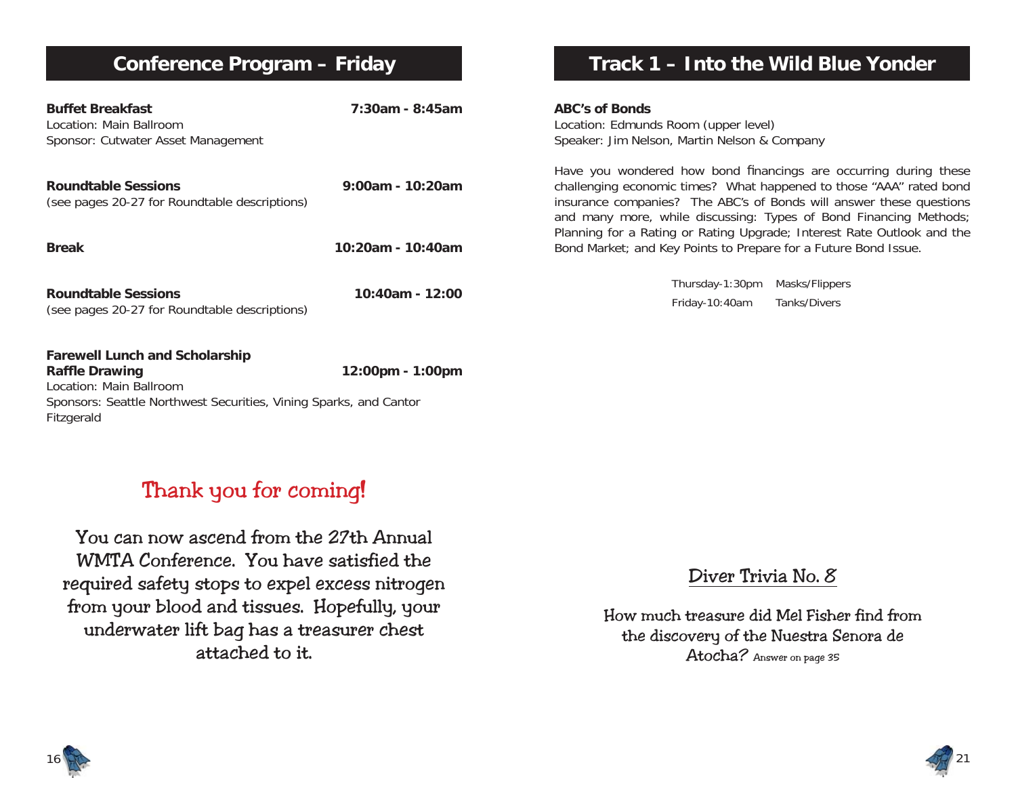# **Conference Program – Friday**

| <b>Buffet Breakfast</b><br>Location: Main Ballroom<br>Sponsor: Cutwater Asset Management                                                                                     | 7:30am - 8:45am    | <b>ABC's of Bonds</b><br>Location: Edmunds Room (upper level)<br>Speaker: Jim Nelson, Martin Nelson & Company                                                                                                                                                                       |
|------------------------------------------------------------------------------------------------------------------------------------------------------------------------------|--------------------|-------------------------------------------------------------------------------------------------------------------------------------------------------------------------------------------------------------------------------------------------------------------------------------|
| <b>Roundtable Sessions</b><br>(see pages 20-27 for Roundtable descriptions)                                                                                                  | $9:00am - 10:20am$ | Have you wondered how bond financings are occurring during these<br>challenging economic times? What happened to those "AAA" rated bond<br>insurance companies? The ABC's of Bonds will answer these questions<br>and many more, while discussing: Types of Bond Financing Methods; |
| <b>Break</b>                                                                                                                                                                 | 10:20am - 10:40am  | Planning for a Rating or Rating Upgrade; Interest Rate Outlook and the<br>Bond Market; and Key Points to Prepare for a Future Bond Issue.                                                                                                                                           |
| <b>Roundtable Sessions</b><br>(see pages 20-27 for Roundtable descriptions)                                                                                                  | 10:40am - 12:00    | Thursday-1:30pm<br>Masks/Flippers<br>Friday-10:40am<br>Tanks/Divers                                                                                                                                                                                                                 |
| <b>Farewell Lunch and Scholarship</b><br><b>Raffle Drawing</b><br>Location: Main Ballroom<br>Sponsors: Seattle Northwest Securities, Vining Sparks, and Cantor<br>Fitzgerald | 12:00pm - 1:00pm   |                                                                                                                                                                                                                                                                                     |

# Thank you for coming!

You can now ascend from the 27th Annual WMTA Conference. You have satisfied the required safety stops to expel excess nitrogen from your blood and tissues. Hopefully, your underwater lift bag has a treasurer chest attached to it.

## Diver Trivia No. 8

**Track 1 – Into the Wild Blue Yonder**

How much treasure did Mel Fisher find from the discovery of the Nuestra Senora de Atocha? Answer on page 35



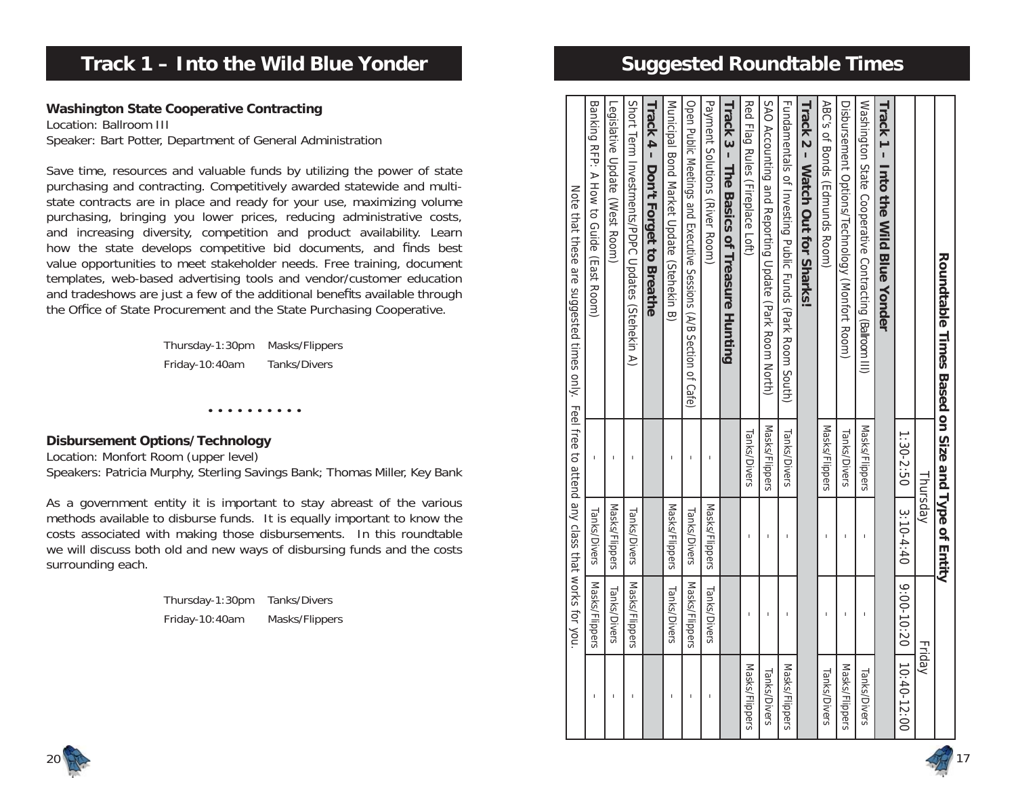| Roundtable Times Based on Size and Type of Entity                                           |                |                |                |                              |
|---------------------------------------------------------------------------------------------|----------------|----------------|----------------|------------------------------|
|                                                                                             |                | Thursday       |                | Friday                       |
|                                                                                             | 1:30-2:50      | $3:10-4:40$    |                | $9:00 - 10:20$   10:40-12:00 |
| Track 1 - Into the Mild Blue Yonder                                                         |                |                |                |                              |
| Washington State Cooperative Contracting (Ballroom III)                                     | Masks/Flippers | I              | $\overline{1}$ | Tanks/Divers                 |
| Disbursement Options/Technology (Monfort Room)                                              | Tanks/Divers   |                | п              | Masks/Flippers               |
| ABC's of Bonds (Famurads Room)                                                              | Masks/Flippers |                |                | Tanks/Divers                 |
| Track 2 - Watch Out tor Sharks                                                              |                |                |                |                              |
| Fundamentals of Investing Public Funds (Park Room South)                                    | Tanks/Divers   |                | ı              | Masks/Flippers               |
| SAO Accounting and Reporting Update (Park Room North)                                       | Masks/Flippers | T              | T              | Tanks/Divers                 |
| Red Flag Rules (Fireplace Loft)                                                             | Tanks/Divers   | I              | I              | Masks/Flippers               |
| Track 3 - The Basics of Treasure Hunting                                                    |                |                |                |                              |
| Payment Solutions (River Room)                                                              |                | Masks/Flippers | Tanks/Divers   |                              |
| Open Public Meetings and Executive Sessions (A/B Section of Cafe)                           | I              | Tanks/Divers   | Masks/Flippers | I                            |
| Municipal Bond Market Cpdate (Stehekin B)                                                   | I              | Masks/Flippers | Tanks/Divers   | I                            |
| Track 4 - Don't Forget to Breathe                                                           |                |                |                |                              |
| Short Term Investments/PDPC Updates (Stehekin A)                                            | $\overline{1}$ | Tanks/Divers   | Masks/Flippers | I                            |
| Legislative Update (West Room)                                                              | $\mathsf{I}$   | Masks/Flippers | Tanks/Divers   | I                            |
| Banking RFP: A How to Gride (East Room)                                                     | I              | Tanks/Divers   | Masks/Flippers | I                            |
| Note that these are suggested times only. Feel free to attend any class that works for you. |                |                |                |                              |

# **Track 1 – Into the Wild Blue Yonder**

### **Washington State Cooperative Contracting**

Location: Ballroom IIISpeaker: Bart Potter, Department of General Administration

Save time, resources and valuable funds by utilizing the power of state purchasing and contracting. Competitively awarded statewide and multistate contracts are in place and ready for your use, maximizing volume purchasing, bringing you lower prices, reducing administrative costs, and increasing diversity, competition and product availability. Learn how the state develops competitive bid documents, and finds best value opportunities to meet stakeholder needs. Free training, document templates, web-based advertising tools and vendor/customer education and tradeshows are just a few of the additional benefits available through the Office of State Procurement and the State Purchasing Cooperative.

> Thursday-1:30pm Masks/Flippers Friday-10:40am Tanks/Divers

> > • • • • • • • • • •

#### **Disbursement Options/Technology**

Location: Monfort Room (upper level) Speakers: Patricia Murphy, Sterling Savings Bank; Thomas Miller, Key Bank

As a government entity it is important to stay abreast of the various methods available to disburse funds. It is equally important to know the costs associated with making those disbursements. In this roundtable we will discuss both old and new ways of disbursing funds and the costs surrounding each.

> Thursday-1:30pm Tanks/Divers Friday-10:40am Masks/Flippers



# **Suggested Roundtable Times**